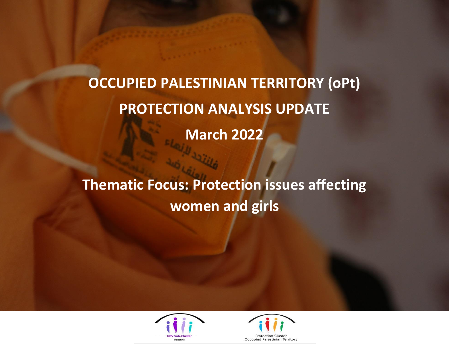**OCCUPIED PALESTINIAN TERRITORY (oPt) PROTECTION ANALYSIS UPDATE March 2022**

**Thematic Focus: Protection issues affecting women and girls**



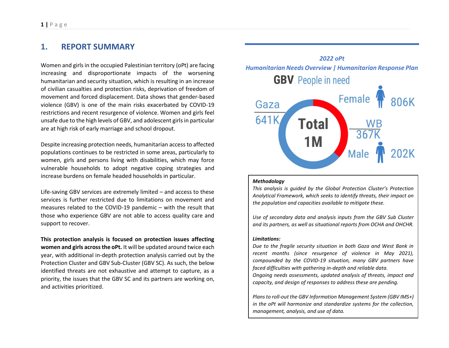## **1. REPORT SUMMARY**

Women and girls in the occupied Palestinian territory (oPt) are facing increasing and disproportionate impacts of the worsening humanitarian and security situation, which is resulting in an increase of civilian casualties and protection risks, deprivation of freedom of movement and forced displacement. Data shows that gender-based violence (GBV) is one of the main risks exacerbated by COVID-19 restrictions and recent resurgence of violence. Women and girls feel unsafe due to the high levels of GBV, and adolescent girls in particular are at high risk of early marriage and school dropout.

Despite increasing protection needs, humanitarian access to affected populations continues to be restricted in some areas, particularly to women, girls and persons living with disabilities, which may force vulnerable households to adopt negative coping strategies and increase burdens on female headed households in particular.

Life-saving GBV services are extremely limited – and access to these services is further restricted due to limitations on movement and measures related to the COVID-19 pandemic – with the result that those who experience GBV are not able to access quality care and support to recover.

**This protection analysis is focused on protection issues affecting women and girls across the oPt.** It will be updated around twice each year, with additional in-depth protection analysis carried out by the Protection Cluster and GBV Sub-Cluster (GBV SC). As such, the below identified threats are not exhaustive and attempt to capture, as a priority, the issues that the GBV SC and its partners are working on, and activities prioritized.



#### *Methodology*

*This analysis is guided by the Global Protection Cluster's Protection Analytical Framework, which seeks to identify threats, their impact on the population and capacities available to mitigate these.*

*Use of secondary data and analysis inputs from the GBV Sub Cluster and its partners, as well as situational reports from OCHA and OHCHR.*

#### *Limitations:*

*Due to the fragile security situation in both Gaza and West Bank in recent months (since resurgence of violence in May 2021), compounded by the COVID-19 situation, many GBV partners have faced difficulties with gathering in-depth and reliable data.* 

*Ongoing needs assessments, updated analysis of threats, impact and capacity, and design of responses to address these are pending.*

*Plans to roll-out the GBV Information Management System (GBV IMS+) in the oPt will harmonize and standardize systems for the collection, management, analysis, and use of data.*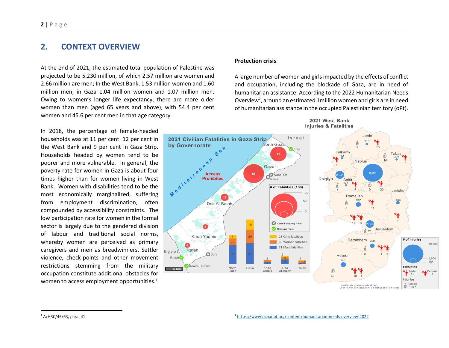## **2. CONTEXT OVERVIEW**

At the end of 2021, the estimated total population of Palestine was projected to be 5.230 million, of which 2.57 million are women and 2.66 million are men; In the West Bank, 1.53 million women and 1.60 million men, in Gaza 1.04 million women and 1.07 million men. Owing to women's longer life expectancy, there are more older women than men (aged 65 years and above), with 54.4 per cent women and 45.6 per cent men in that age category.

In 2018, the percentage of female-headed households was at 11 per cent: 12 per cent in the West Bank and 9 per cent in Gaza Strip. Households headed by women tend to be poorer and more vulnerable. In general, the poverty rate for women in Gaza is about four times higher than for women living in West Bank. Women with disabilities tend to be the most economically marginalized, suffering from employment discrimination, often compounded by accessibility constraints. The low participation rate for women in the formal sector is largely due to the gendered division of labour and traditional social norms, whereby women are perceived as primary caregivers and men as breadwinners. Settler violence, check-points and other movement restrictions stemming from the military occupation constitute additional obstacles for women to access employment opportunities. $1$ 

#### **Protection crisis**

A large number of women and girlsimpacted by the effects of conflict and occupation, including the blockade of Gaza, are in need of humanitarian assistance. According to the 2022 Humanitarian Needs Overview<sup>2</sup>, around an estimated 1 million women and girls are in need of humanitarian assistance in the occupied Palestinian territory (oPt).

2021 West Bank



\*100 Female injuries include 39 Girls,<br>20 in Hebron, 6 in Jerusalem, 3 in Nablus and 10 in Tub

 $1$  A/HRC/46/63, para. 41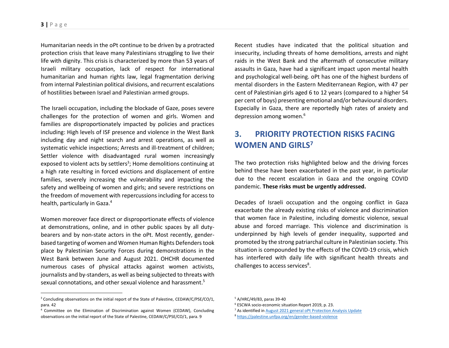Humanitarian needs in the oPt continue to be driven by a protracted protection crisis that leave many Palestinians struggling to live their life with dignity. This crisis is characterized by more than 53 years of Israeli military occupation, lack of respect for international humanitarian and human rights law, legal fragmentation deriving from internal Palestinian political divisions, and recurrent escalations of hostilities between Israel and Palestinian armed groups.

The Israeli occupation, including the blockade of Gaze, poses severe challenges for the protection of women and girls. Women and families are disproportionately impacted by policies and practices including: High levels of ISF presence and violence in the West Bank including day and night search and arrest operations, as well as systematic vehicle inspections; Arrests and ill-treatment of children; Settler violence with disadvantaged rural women increasingly exposed to violent acts by settlers<sup>3</sup>; Home demolitions continuing at a high rate resulting in forced evictions and displacement of entire families, severely increasing the vulnerability and impacting the safety and wellbeing of women and girls; and severe restrictions on the freedom of movement with repercussions including for access to health, particularly in Gaza.<sup>4</sup>

Women moreover face direct or disproportionate effects of violence at demonstrations, online, and in other public spaces by all dutybearers and by non-state actors in the oPt. Most recently, genderbased targeting of women and Women Human Rights Defenders took place by Palestinian Security Forces during demonstrations in the West Bank between June and August 2021. OHCHR documented numerous cases of physical attacks against women activists, journalists and by-standers, as well as being subjected to threats with sexual connotations, and other sexual violence and harassment.<sup>5</sup>

Recent studies have indicated that the political situation and insecurity, including threats of home demolitions, arrests and night raids in the West Bank and the aftermath of consecutive military assaults in Gaza, have had a significant impact upon mental health and psychological well-being. oPt has one of the highest burdens of mental disorders in the Eastern Mediterranean Region, with 47 per cent of Palestinian girls aged 6 to 12 years (compared to a higher 54 per cent of boys) presenting emotional and/or behavioural disorders. Especially in Gaza, there are reportedly high rates of anxiety and depression among women.<sup>6</sup>

# **3. PRIORITY PROTECTION RISKS FACING WOMEN AND GIRLS<sup>7</sup>**

The two protection risks highlighted below and the driving forces behind these have been exacerbated in the past year, in particular due to the recent escalation in Gaza and the ongoing COVID pandemic. **These risks must be urgently addressed.**

Decades of Israeli occupation and the ongoing conflict in Gaza exacerbate the already existing risks of violence and discrimination that women face in Palestine, including domestic violence, sexual abuse and forced marriage. This violence and discrimination is underpinned by high levels of gender inequality, supported and promoted by the strong patriarchal culture in Palestinian society. This situation is compounded by the effects of the COVID-19 crisis, which has interfered with daily life with significant health threats and challenges to access services<sup>8</sup>.

<sup>7</sup> As identified i[n August 2021 general oPt Protection Analysis Update](https://www.globalprotectioncluster.org/wp-content/uploads/oPt_Protection-Analysis-Update-08-21.doc.pdf)

<sup>&</sup>lt;sup>3</sup> Concluding observations on the initial report of the State of Palestine, [CEDAW/C/PSE/CO/1,](https://tbinternet.ohchr.org/_layouts/15/treatybodyexternal/Download.aspx?symbolno=CEDAW%2fC%2fPSE%2fCO%2f1&Lang=en) para. 42

<sup>4</sup> Committee on the Elimination of Discrimination against Women (CEDAW), Concluding observations on the initial report of the State of Palestine[, CEDAW/C/PSE/CO/1,](https://tbinternet.ohchr.org/_layouts/15/treatybodyexternal/Download.aspx?symbolno=CEDAW%2fC%2fPSE%2fCO%2f1&Lang=en) para. 9

<sup>5</sup> A/HRC/49/83, paras 39-40

<sup>6</sup> ESCWA socio-economic situation Report 2019, p. 23.

<sup>8</sup> <https://palestine.unfpa.org/en/gender-based-violence>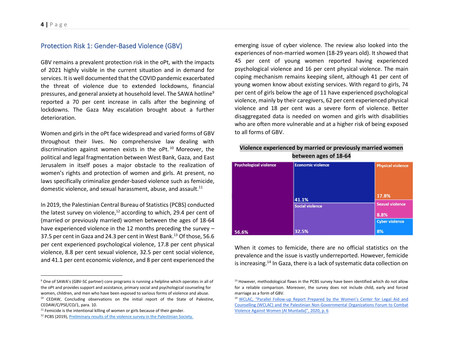## Protection Risk 1: Gender-Based Violence (GBV)

GBV remains a prevalent protection risk in the oPt, with the impacts of 2021 highly visible in the current situation and in demand for services. It is well documented that the COVID pandemic exacerbated the threat of violence due to extended lockdowns, financial pressures, and general anxiety at household level. The SAWA hotline<sup>9</sup> reported a 70 per cent increase in calls after the beginning of lockdowns. The Gaza May escalation brought about a further deterioration.

Women and girls in the oPt face widespread and varied forms of GBV throughout their lives. No comprehensive law dealing with discrimination against women exists in the oPt. <sup>10</sup> Moreover, the political and legal fragmentation between West Bank, Gaza, and East Jerusalem in itself poses a major obstacle to the realization of women's rights and protection of women and girls. At present, no laws specifically criminalize gender-based violence such as femicide, domestic violence, and sexual harassment, abuse, and assault.<sup>11</sup>

In 2019, the Palestinian Central Bureau of Statistics (PCBS) conducted the latest survey on violence, $^{12}$  according to which, 29.4 per cent of (married or previously married) women between the ages of 18-64 have experienced violence in the 12 months preceding the survey – 37.5 per cent in Gaza and 24.3 per cent in West Bank.<sup>13</sup> Of those, 56.6 per cent experienced psychological violence, 17.8 per cent physical violence, 8.8 per cent sexual violence, 32.5 per cent social violence, and 41.1 per cent economic violence, and 8 per cent experienced the

emerging issue of cyber violence. The review also looked into the experiences of non-married women (18-29 years old). It showed that 45 per cent of young women reported having experienced psychological violence and 16 per cent physical violence. The main coping mechanism remains keeping silent, although 41 per cent of young women know about existing services. With regard to girls, 74 per cent of girls below the age of 11 have experienced psychological violence, mainly by their caregivers, 62 per cent experienced physical violence and 18 per cent was a severe form of violence. Better disaggregated data is needed on women and girls with disabilities who are often more vulnerable and at a higher risk of being exposed to all forms of GBV.

### **Violence experienced by married or previously married women between ages of 18-64**

| <b>Psychological violence</b> | <b>Economic violence</b> | <b>Physical violence</b>        |
|-------------------------------|--------------------------|---------------------------------|
|                               | 41.1%                    | 17.8%<br><b>Sexual violence</b> |
|                               | <b>Social violence</b>   | 8.8%<br><b>Cyber violence</b>   |
| 56.6%                         | 32.5%                    | 8%                              |

When it comes to femicide, there are no official statistics on the prevalence and the issue is vastly underreported. However, femicide is increasing.<sup>14</sup> In Gaza, there is a lack of systematic data collection on

<sup>9</sup> One of SAWA's (GBV-SC partner) core programs is running a helpline which operates in all of the oPt and provides support and assistance, primary social and psychological counseling for women, children, and men who have been exposed to various forms of violence and abuse.

 $10$  CEDAW, Concluding observations on the initial report of the State of Palestine, [CEDAW/C/PSE/CO/1,](https://tbinternet.ohchr.org/_layouts/15/treatybodyexternal/Download.aspx?symbolno=CEDAW%2fC%2fPSE%2fCO%2f1&Lang=en) para. 10.

 $11$  Femicide is the intentional killing of women or girls because of their gender.

<sup>&</sup>lt;sup>12</sup> PCBS (2019)[, Preliminary results of the violence survey in the Palestinian Society.](http://www.pcbs.gov.ps/Downloads/book2480.pdf)

 $13$  However, methodological flaws in the PCBS survey have been identified which do not allow for a reliable comparison. Moreover, the survey does not include child, early and forced marriage as a form of GBV.

<sup>14</sup> WCLAC, "Parallel Follow-[up Report Prepared by the Women's Center for Lega](http://www.wclac.org/files/library/20/09/rhojsluccscr3dwifbyka9.pdf)l Aid and [Counselling \(WCLAC\) and the Palestinian Non-Governmental](http://www.wclac.org/files/library/20/09/rhojsluccscr3dwifbyka9.pdf) Organizations Forum to Combat [Violence Against Women \(Al Muntada\)", 2020, p. 6](http://www.wclac.org/files/library/20/09/rhojsluccscr3dwifbyka9.pdf)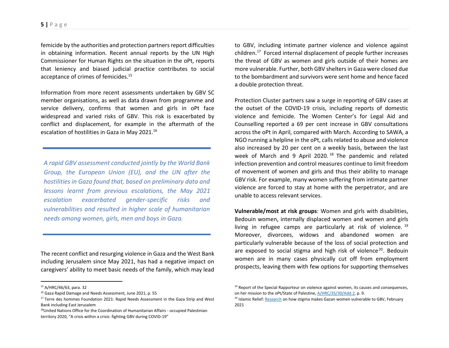femicide by the authorities and protection partners report difficulties in obtaining information. Recent annual reports by the UN High Commissioner for Human Rights on the situation in the oPt, reports that leniency and biased judicial practice contributes to social acceptance of crimes of femicides. 15

Information from more recent assessments undertaken by GBV SC member organisations, as well as data drawn from programme and service delivery, confirms that women and girls in oPt face widespread and varied risks of GBV. This risk is exacerbated by conflict and displacement, for example in the aftermath of the escalation of hostilities in Gaza in May 2021.<sup>16</sup>

*A rapid GBV assessment conducted jointly by the World Bank Group, the European Union (EU), and the UN after the hostilities in Gaza found that, based on preliminary data and lessons learnt from previous escalations, the May 2021 escalation exacerbated gender-specific risks and vulnerabilities and resulted in higher scale of humanitarian needs among women, girls, men and boys in Gaza.*

The recent conflict and resurging violence in Gaza and the West Bank including Jerusalem since May 2021, has had a negative impact on caregivers' ability to meet basic needs of the family, which may lead

to GBV, including intimate partner violence and violence against children.<sup>17</sup> Forced internal displacement of people further increases the threat of GBV as women and girls outside of their homes are more vulnerable. Further, both GBV shelters in Gaza were closed due to the bombardment and survivors were sent home and hence faced a double protection threat.

Protection Cluster partners saw a surge in reporting of GBV cases at the outset of the COVID-19 crisis, including reports of domestic violence and femicide. The Women Center's for Legal Aid and Counselling reported a 69 per cent increase in GBV consultations across the oPt in April, compared with March. According to SAWA, a NGO running a helpline in the oPt, calls related to abuse and violence also increased by 20 per cent on a weekly basis, between the last week of March and 9 April 2020.<sup>18</sup> The pandemic and related infection prevention and control measures continue to limit freedom of movement of women and girls and thus their ability to manage GBV risk. For example, many women suffering from intimate partner violence are forced to stay at home with the perpetrator, and are unable to access relevant services.

**Vulnerable/most at risk groups**: Women and girls with disabilities, Bedouin women, internally displaced women and women and girls living in refugee camps are particularly at risk of violence. <sup>19</sup> Moreover, divorcees, widows and abandoned women are particularly vulnerable because of the loss of social protection and are exposed to social stigma and high risk of violence<sup>20</sup>. Bedouin women are in many cases physically cut off from employment prospects, leaving them with few options for supporting themselves

<sup>15</sup> A/HRC/46/63, para. 32

<sup>16</sup> Gaza Rapid Damage and Needs Assessment, June 2021, p. 55

<sup>&</sup>lt;sup>17</sup> Terre des hommes Foundation 2021: Rapid Needs Assessment in the Gaza Strip and West Bank including East Jerusalem

<sup>&</sup>lt;sup>18</sup>United Nations Office for the Coordination of Humanitarian Affairs - occupied Palestinian territory 2020, "A crisis within a crisis: fighting GBV during COVID-19"

 $19$  Report of the Special Rapporteur on violence against women, its causes and consequences, on her mission to the oPt/State of Palestine[, A/HRC/35/30/Add.2,](https://documents-dds-ny.un.org/doc/UNDOC/GEN/G19/324/61/pdf/G1932461.pdf?OpenElement) p. 9.

<sup>&</sup>lt;sup>20</sup> Islamic Relief[: Research](https://www.islamic-relief.org/how-stigma-makes-gazan-women-vulnerable-to-gender-based-violence/) on how stigma makes Gazan women vulnerable to GBV, February 2021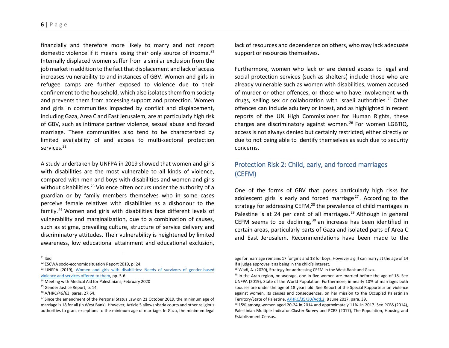financially and therefore more likely to marry and not report domestic violence if it means losing their only source of income.<sup>21</sup> Internally displaced women suffer from a similar exclusion from the job market in addition to the fact that displacement and lack of access increases vulnerability to and instances of GBV. Women and girls in refugee camps are further exposed to violence due to their confinement to the household, which also isolates them from society and prevents them from accessing support and protection. Women and girls in communities impacted by conflict and displacement, including Gaza, Area C and East Jerusalem, are at particularly high risk of GBV, such as intimate partner violence, sexual abuse and forced marriage. These communities also tend to be characterized by limited availability of and access to multi-sectoral protection services.<sup>22</sup>

A study undertaken by UNFPA in 2019 showed that women and girls with disabilities are the most vulnerable to all kinds of violence, compared with men and boys with disabilities and women and girls without disabilities.<sup>23</sup> Violence often occurs under the authority of a guardian or by family members themselves who in some cases perceive female relatives with disabilities as a dishonour to the family.<sup>24</sup> Women and girls with disabilities face different levels of vulnerability and marginalization, due to a combination of causes, such as stigma, prevailing culture, structure of service delivery and discriminatory attitudes. Their vulnerability is heightened by limited awareness, low educational attainment and educational exclusion,

lack of resources and dependence on others, who may lack adequate support or resources themselves.

Furthermore, women who lack or are denied access to legal and social protection services (such as shelters) include those who are already vulnerable such as women with disabilities, women accused of murder or other offences, or those who have involvement with drugs, selling sex or collaboration with Israeli authorities.<sup>25</sup> Other offences can include adultery or incest, and as highlighted in recent reports of the UN High Commissioner for Human Rights, these charges are discriminatory against women. <sup>26</sup> For women LGBTIQ, access is not always denied but certainly restricted, either directly or due to not being able to identify themselves as such due to security concerns.

## Protection Risk 2: Child, early, and forced marriages (CEFM)

One of the forms of GBV that poses particularly high risks for adolescent girls is early and forced marriage<sup>27</sup>. According to the strategy for addressing CEFM, $^{28}$  the prevalence of child marriages in Palestine is at 24 per cent of all marriages.<sup>29</sup> Although in general CEFM seems to be declining,  $30$  an increase has been identified in certain areas, particularly parts of Gaza and isolated parts of Area C and East Jerusalem. Recommendations have been made to the

age for marriage remains 17 for girls and 18 for boys. However a girl can marry at the age of 14 if a judge approves it as being in the child's interest.

 $21$  Ibid

<sup>&</sup>lt;sup>22</sup> ESCWA socio-economic situation Report 2019, p. 24.

<sup>&</sup>lt;sup>23</sup> UNFPA (2019), Women and girls with disabilities: Needs of survivors of gender-based [violence and services offered to them,](https://palestine.unfpa.org/sites/default/files/pub-pdf/Women%20and%20Girls%20with%20Disabilities_0.PDF) pp. 5-6.

<sup>&</sup>lt;sup>24</sup> Meeting with Medical Aid for Palestinians, February 2020

<sup>&</sup>lt;sup>25</sup> Gender Justice Report, p. 14.

<sup>26</sup> A/HRC/46/63, paras. 27,64.

 $27$  Since the amendment of the Personal Status Law on 21 October 2019, the minimum age of marriage is 18 for all (in West Bank). However, Article 5 allows sharia courts and other religious authorities to grant exceptions to the minimum age of marriage. In Gaza, the minimum legal

<sup>&</sup>lt;sup>28</sup> Wadi, A. (2020), Strategy for addressing CEFM in the West Bank and Gaza.

 $29$  In the Arab region, on average, one in five women are married before the age of 18. See UNFPA (2019), State of the World Population. Furthermore, in nearly 10% of marriages both spouses are under the age of 18 years old. See Report of the Special Rapporteur on violence against women, its causes and consequences, on her mission to the Occupied Palestinian Territory/State of Palestine[, A/HRC/35/30/Add.2,](https://documents-dds-ny.un.org/doc/UNDOC/GEN/G19/324/61/pdf/G1932461.pdf?OpenElement) 8 June 2017, para. 39.

 $30$  15% among women aged 20-24 in 2014 and approximately 11% in 2017. See PCBS (2014), Palestinian Multiple Indicator Cluster Survey and PCBS (2017), The Population, Housing and Establishment Census.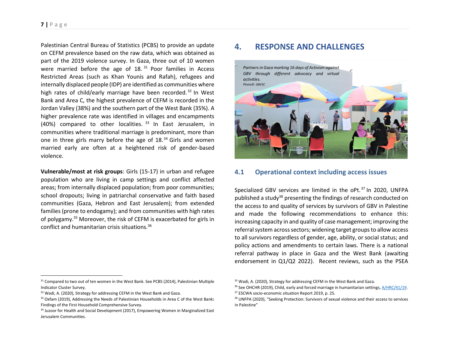### **7 |** P a g e

Palestinian Central Bureau of Statistics (PCBS) to provide an update on CEFM prevalence based on the raw data, which was obtained as part of the 2019 violence survey. In Gaza, three out of 10 women were married before the age of 18.<sup>31</sup> Poor families in Access Restricted Areas (such as Khan Younis and Rafah), refugees and internally displaced people (IDP) are identified as communities where high rates of child/early marriage have been recorded.<sup>32</sup> In West Bank and Area C, the highest prevalence of CEFM is recorded in the Jordan Valley (38%) and the southern part of the West Bank (35%). A higher prevalence rate was identified in villages and encampments (40%) compared to other localities. <sup>33</sup> In East Jerusalem, in communities where traditional marriage is predominant, more than one in three girls marry before the age of  $18<sup>34</sup>$  Girls and women married early are often at a heightened risk of gender-based violence.

**Vulnerable/most at risk groups**: Girls (15-17) in urban and refugee population who are living in camp settings and conflict affected areas; from internally displaced population; from poor communities; school dropouts; living in patriarchal conservative and faith based communities (Gaza, Hebron and East Jerusalem); from extended families (prone to endogamy); and from communities with high rates of polygamy.<sup>35</sup> Moreover, the risk of CEFM is exacerbated for girls in conflict and humanitarian crisis situations.<sup>36</sup>

#### <sup>31</sup> Compared to two out of ten women in the West Bank. See PCBS (2014), Palestinian Multiple Indicator Cluster Survey.

## **4. RESPONSE AND CHALLENGES**



## **4.1 Operational context including access issues**

Specialized GBV services are limited in the oPt.<sup>37</sup> In 2020, UNFPA published a study<sup>38</sup> presenting the findings of research conducted on the access to and quality of services by survivors of GBV in Palestine and made the following recommendations to enhance this: increasing capacity in and quality of case management; improving the referral system across sectors; widening target groups to allow access to all survivors regardless of gender, age, ability, or social status; and policy actions and amendments to certain laws. There is a national referral pathway in place in Gaza and the West Bank (awaiting endorsement in Q1/Q2 2022). Recent reviews, such as the PSEA

<sup>&</sup>lt;sup>32</sup> Wadi, A. (2020). Strategy for addressing CEFM in the West Bank and Gaza.

<sup>33</sup> Oxfam (2019), Addressing the Needs of Palestinian Households in Area C of the West Bank**:**  Findings of the First Household Comprehensive Survey.

<sup>&</sup>lt;sup>34</sup> Juzoor for Health and Social Development (2017), Empowering Women in Marginalized East Jerusalem Communities.

<sup>&</sup>lt;sup>35</sup> Wadi, A. (2020), Strategy for addressing CEFM in the West Bank and Gaza.

 $36$  See OHCHR (2019), Child, early and forced marriage in humanitarian settings,  $A/HRC/41/19$ . <sup>37</sup> ESCWA socio-economic situation Report 2019, p. 25.

<sup>38</sup> UNFPA (2020), "Seeking Protection: Survivors of sexual violence and their access to services in Palestine"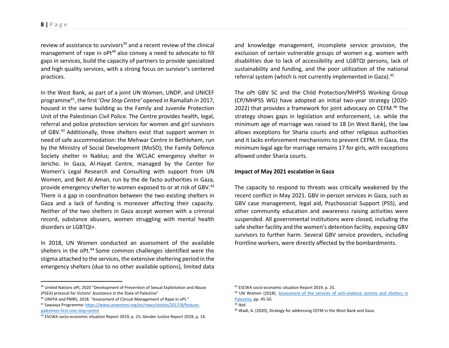review of assistance to survivors<sup>39</sup> and a recent review of the clinical management of rape in oPt<sup>40</sup> also convey a need to advocate to fill gaps in services, build the capacity of partners to provide specialized and high quality services, with a strong focus on survivor's centered practices.

In the West Bank, as part of a joint UN Women, UNDP, and UNICEF programme<sup>41</sup>, the first '*One Stop Centre'* opened in Ramallah in 2017, housed in the same building as the Family and Juvenile Protection Unit of the Palestinian Civil Police. The Centre provides health, legal, referral and police protection services for women and girl survivors of GBV.<sup>42</sup> Additionally, three shelters exist that support women in need of safe accommodation: the Mehwar Centre in Bethlehem, run by the Ministry of Social Development (MoSD); the Family Defence Society shelter in Nablus; and the WCLAC emergency shelter in Jericho. In Gaza, Al-Hayat Centre, managed by the Center for Women's Legal Research and Consulting with support from UN Women, and Beit Al Aman, run by the de facto authorities in Gaza, provide emergency shelter to women exposed to or at risk of GBV.<sup>43</sup> There is a gap in coordination between the two existing shelters in Gaza and a lack of funding is moreover affecting their capacity. Neither of the two shelters in Gaza accept women with a criminal record, substance abusers, women struggling with mental health disorders or LGBTQI+.

In 2018, UN Women conducted an assessment of the available shelters in the oPt.<sup>44</sup> Some common challenges identified were the stigma attached to the services, the extensive sheltering period in the emergency shelters (due to no other available options), limited data

<sup>39</sup> United Nations oPt, 2020 "Development of Prevention of Sexual Exploitation and Abuse (PSEA) protocol for Victims' Assistance in the State of Palestine"

and knowledge management, incomplete service provision, the exclusion of certain vulnerable groups of women e.g. women with disabilities due to lack of accessibility and LGBTQI persons, lack of sustainability and funding, and the poor utilization of the national referral system (which is not currently implemented in Gaza).<sup>45</sup>

The oPt GBV SC and the Child Protection/MHPSS Working Group (CP/MHPSS WG) have adopted an initial two-year strategy (2020- 2022) that provides a framework for joint advocacy on CEFM.<sup>46</sup> The strategy shows gaps in legislation and enforcement, i.e. while the minimum age of marriage was raised to 18 (in West Bank), the law allows exceptions for Sharia courts and other religious authorities and it lacks enforcement mechanisms to prevent CEFM. In Gaza, the minimum legal age for marriage remains 17 for girls, with exceptions allowed under Sharia courts.

#### **Impact of May 2021 escalation in Gaza**

The capacity to respond to threats was critically weakened by the recent conflict in May 2021. GBV in-person services in Gaza, such as GBV case management, legal aid, Psychosocial Support (PSS), and other community education and awareness raising activities were suspended. All governmental institutions were closed, including the safe shelter facility and the women's detention facility, exposing GBV survivors to further harm. Several GBV service providers, including frontline workers, were directly affected by the bombardments.

<sup>40</sup> UNFPA and PMRS, 2018. "Assessment of Clinical Management of Rape in oPt."

<sup>41</sup> Sawasya Programme[: https://www.unwomen.org/en/news/stories/2017/8/feature](https://www.unwomen.org/en/news/stories/2017/8/feature-palestines-first-one-stop-centre)[palestines-first-one-stop-centre](https://www.unwomen.org/en/news/stories/2017/8/feature-palestines-first-one-stop-centre)

<sup>&</sup>lt;sup>42</sup> ESCWA socio-economic situation Report 2019, p. 25; Gender Justice Report 2018, p. 14.

<sup>43</sup> ESCWA socio-economic situation Report 2019, p. 25.

<sup>44</sup> UN Women (2018), [Assessment of the services of anti-violence centres and shelters in](https://www2.unwomen.org/-/media/field%20office%20palestine/attachments/publications/2018/12/unwgsopalcopalsheltersassessmentv8final.pdf?la=en&vs=423)  [Palestine,](https://www2.unwomen.org/-/media/field%20office%20palestine/attachments/publications/2018/12/unwgsopalcopalsheltersassessmentv8final.pdf?la=en&vs=423) pp. 45-50.

 $45$  Ibid

<sup>46</sup> Wadi, A. (2020), Strategy for addressing CEFM in the West Bank and Gaza.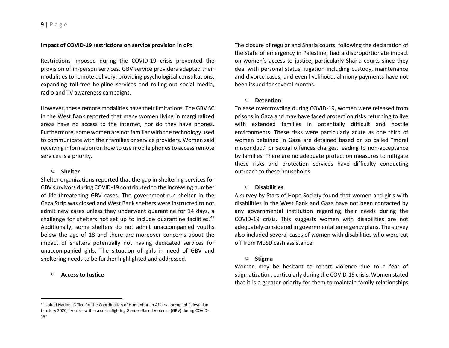#### **Impact of COVID-19 restrictions on service provision in oPt**

Restrictions imposed during the COVID-19 crisis prevented the provision of in-person services. GBV service providers adapted their modalities to remote delivery, providing psychological consultations, expanding toll-free helpline services and rolling-out social media, radio and TV awareness campaigns.

However, these remote modalities have their limitations. The GBV SC in the West Bank reported that many women living in marginalized areas have no access to the internet, nor do they have phones. Furthermore, some women are not familiar with the technology used to communicate with their families or service providers. Women said receiving information on how to use mobile phones to access remote services is a priority.

#### o **Shelter**

Shelter organizations reported that the gap in sheltering services for GBV survivors during COVID-19 contributed to the increasing number of life-threatening GBV cases. The government-run shelter in the Gaza Strip was closed and West Bank shelters were instructed to not admit new cases unless they underwent quarantine for 14 days, a challenge for shelters not set up to include quarantine facilities.<sup>47</sup> Additionally, some shelters do not admit unaccompanied youths below the age of 18 and there are moreover concerns about the impact of shelters potentially not having dedicated services for unaccompanied girls. The situation of girls in need of GBV and sheltering needs to be further highlighted and addressed.

#### o **Access to Justice**

The closure of regular and Sharia courts, following the declaration of the state of emergency in Palestine, had a disproportionate impact on women's access to justice, particularly Sharia courts since they deal with personal status litigation including custody, maintenance and divorce cases; and even livelihood, alimony payments have not been issued for several months.

#### o **Detention**

To ease overcrowding during COVID-19, women were released from prisons in Gaza and may have faced protection risks returning to live with extended families in potentially difficult and hostile environments. These risks were particularly acute as one third of women detained in Gaza are detained based on so called "moral misconduct" or sexual offences charges, leading to non-acceptance by families. There are no adequate protection measures to mitigate these risks and protection services have difficulty conducting outreach to these households.

#### o **Disabilities**

A survey by Stars of Hope Society found that women and girls with disabilities in the West Bank and Gaza have not been contacted by any governmental institution regarding their needs during the COVID-19 crisis. This suggests women with disabilities are not adequately considered in governmental emergency plans. The survey also included several cases of women with disabilities who were cut off from MoSD cash assistance.

#### o **Stigma**

Women may be hesitant to report violence due to a fear of stigmatization, particularly during the COVID-19 crisis. Women stated that it is a greater priority for them to maintain family relationships

<sup>47</sup> United Nations Office for the Coordination of Humanitarian Affairs - occupied Palestinian territory 2020, "A crisis within a crisis: fighting Gender-Based Violence (GBV) during COVID-19"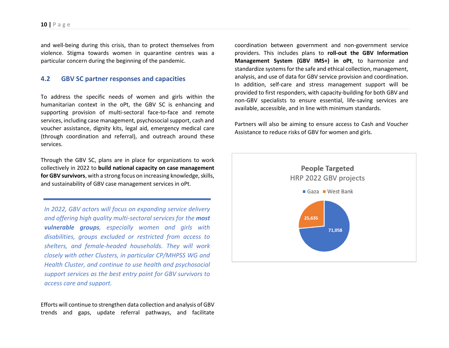and well-being during this crisis, than to protect themselves from violence. Stigma towards women in quarantine centres was a particular concern during the beginning of the pandemic.

### **4.2 GBV SC partner responses and capacities**

To address the specific needs of women and girls within the humanitarian context in the oPt, the GBV SC is enhancing and supporting provision of multi-sectoral face-to-face and remote services, including case management, psychosocial support, cash and voucher assistance, dignity kits, legal aid, emergency medical care (through coordination and referral), and outreach around these services.

Through the GBV SC, plans are in place for organizations to work collectively in 2022 to **build national capacity on case management for GBV survivors**, with a strong focus on increasing knowledge, skills, and sustainability of GBV case management services in oPt.

*In 2022, GBV actors will focus on expanding service delivery and offering high quality multi-sectoral services for the most vulnerable groups, especially women and girls with disabilities, groups excluded or restricted from access to shelters, and female-headed households. They will work closely with other Clusters, in particular CP/MHPSS WG and Health Cluster, and continue to use health and psychosocial support services as the best entry point for GBV survivors to access care and support.*

Efforts will continue to strengthen data collection and analysis of GBV trends and gaps, update referral pathways, and facilitate coordination between government and non-government service providers. This includes plans to **roll-out the GBV Information Management System (GBV IMS+) in oPt**, to harmonize and standardize systems for the safe and ethical collection, management, analysis, and use of data for GBV service provision and coordination. In addition, self-care and stress management support will be provided to first responders, with capacity-building for both GBV and non-GBV specialists to ensure essential, life-saving services are available, accessible, and in line with minimum standards.

Partners will also be aiming to ensure access to Cash and Voucher Assistance to reduce risks of GBV for women and girls.

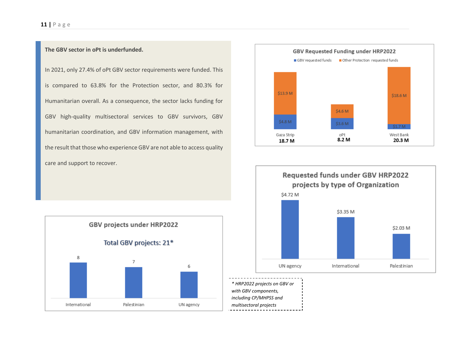### **11 |** P a g e

### **The GBV sector in oPt is underfunded.**

In 2021, only 27.4% of oPt GBV sector requirements were funded. This is compared to 63.8% for the Protection sector, and 80.3% for Humanitarian overall. As a consequence, the sector lacks funding for GBV high-quality multisectoral services to GBV survivors, GBV humanitarian coordination, and GBV information management, with the result that those who experience GBV are not able to access quality care and support to recover.